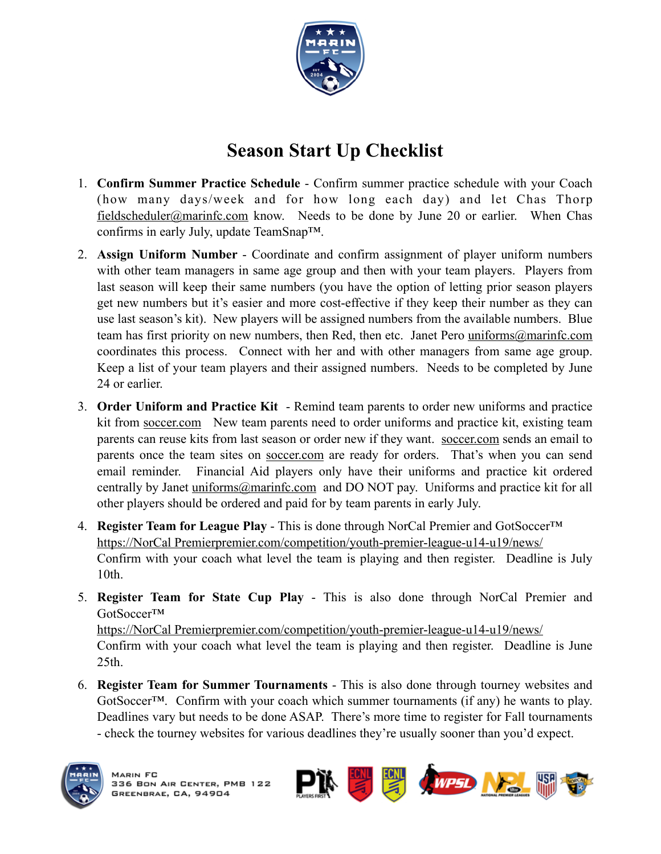

## **Season Start Up Checklist**

- 1. **Confirm Summer Practice Schedule** Confirm summer practice schedule with your Coach (how many days/week and for how long each day) and let Chas Thorp [fieldscheduler@marinfc.com](mailto:fieldscheduler@marinfc.com) know. Needs to be done by June 20 or earlier. When Chas confirms in early July, update TeamSnap™.
- 2. **Assign Uniform Number**  Coordinate and confirm assignment of player uniform numbers with other team managers in same age group and then with your team players. Players from last season will keep their same numbers (you have the option of letting prior season players get new numbers but it's easier and more cost-effective if they keep their number as they can use last season's kit). New players will be assigned numbers from the available numbers. Blue team has first priority on new numbers, then Red, then etc. Janet Pero [uniforms@marinfc.com](mailto:uniforms@marinfc.com) coordinates this process. Connect with her and with other managers from same age group. Keep a list of your team players and their assigned numbers. Needs to be completed by June 24 or earlier.
- 3. **Order Uniform and Practice Kit**  Remind team parents to order new uniforms and practice kit from [soccer.com](http://soccer.com) New team parents need to order uniforms and practice kit, existing team parents can reuse kits from last season or order new if they want. [soccer.com](http://soccer.com) sends an email to parents once the team sites on [soccer.com](http://soccer.com) are ready for orders. That's when you can send email reminder. Financial Aid players only have their uniforms and practice kit ordered centrally by Janet [uniforms@marinfc.com](mailto:uniforms@marinfc.com) and DO NOT pay. Uniforms and practice kit for all other players should be ordered and paid for by team parents in early July.
- 4. **Register Team for League Play** This is done through NorCal Premier and GotSoccer™ [https://NorCal Premierpremier.com/competition/youth-premier-league-u14-u19/news/](https://norcalpremier.com/competition/youth-premier-league-u14-u19/news/) Confirm with your coach what level the team is playing and then register. Deadline is July 10th.
- 5. **Register Team for State Cup Play** This is also done through NorCal Premier and GotSoccer™

[https://NorCal Premierpremier.com/competition/youth-premier-league-u14-u19/news/](https://norcalpremier.com/competition/youth-premier-league-u14-u19/news/) Confirm with your coach what level the team is playing and then register. Deadline is June 25th.

6. **Register Team for Summer Tournaments** - This is also done through tourney websites and GotSoccer™. Confirm with your coach which summer tournaments (if any) he wants to play. Deadlines vary but needs to be done ASAP. There's more time to register for Fall tournaments - check the tourney websites for various deadlines they're usually sooner than you'd expect.